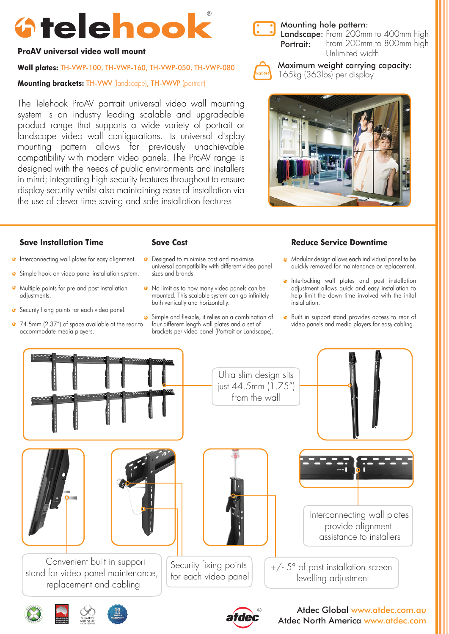# **Otelehook**

## **ProAV universal video wall mount**

## **Wall plates:** TH-VWP-100, TH-VWP-160, TH-VWP-050, TH-VWP-080

## **Mounting brackets:** TH-VWV (landscape), TH-VWVP (portrait)

The Telehook ProAV portrait universal video wall mounting system is an industry leading scalable and upgradeable product range that supports a wide variety of portrait or landscape video wall configurations. Its universal display mounting pattern allows for previously unachievable compatibility with modern video panels. The ProAV range is designed with the needs of public environments and installers in mind; integrating high security features throughout to ensure display security whilst also maintaining ease of installation via the use of clever time saving and safe installation features.



Mounting hole pattern: Landscape: From 200mm to 400mm high Portrait: From 200mm to 800mm high Unlimited width

# Maximum weight carrying capacity: 165kg (363lbs) per display



## **Save Installation Time**

#### **Save Cost**

- **C** Interconnecting wall plates for easy alignment.
- Simple hook-on video panel installation system.
- Multiple points for pre and post installation adjustments.
- Security fixing points for each video panel.
- 74.5mm (2.37") of space available at the rear to accommodate media players.
- **C** Designed to minimise cost and maximise universal compatibility with different video panel sizes and brands.
- $\bullet$  No limit as to how many video panels can be mounted. This scalable system can go infinitely both vertically and horizontally.
- Simple and flexible, it relies on a combination of four different length wall plates and a set of brackets per video panel (Portrait or Landscape).

# **Reduce Service Downtime**

- $\bullet$  Modular design allows each individual panel to be quickly removed for maintenance or replacement.
- **a** Interlocking wall plates and post installation adjustment allows quick and easy installation to help limit the down time involved with the inital installation.
- Built in support stand provides access to rear of video panels and media players for easy cabling.

Atdec North America www.atdec.com



®